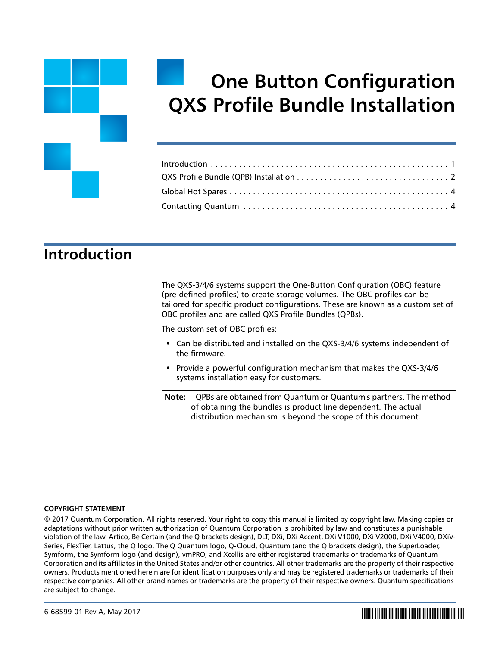# **One Button Configuration QXS Profile Bundle Installation**

### <span id="page-0-0"></span>**Introduction**

The QXS-3/4/6 systems support the One-Button Configuration (OBC) feature (pre-defined profiles) to create storage volumes. The OBC profiles can be tailored for specific product configurations. These are known as a custom set of OBC profiles and are called QXS Profile Bundles (QPBs).

The custom set of OBC profiles:

- Can be distributed and installed on the QXS-3/4/6 systems independent of the firmware.
- Provide a powerful configuration mechanism that makes the QXS-3/4/6 systems installation easy for customers.

**Note:** QPBs are obtained from Quantum or Quantum's partners. The method of obtaining the bundles is product line dependent. The actual distribution mechanism is beyond the scope of this document.

### **COPYRIGHT STATEMENT**

© 2017 Quantum Corporation. All rights reserved. Your right to copy this manual is limited by copyright law. Making copies or adaptations without prior written authorization of Quantum Corporation is prohibited by law and constitutes a punishable violation of the law. Artico, Be Certain (and the Q brackets design), DLT, DXi, DXi Accent, DXi V1000, DXi V2000, DXi V4000, DXiV-Series, FlexTier, Lattus, the Q logo, The Q Quantum logo, Q-Cloud, Quantum (and the Q brackets design), the SuperLoader, Symform, the Symform logo (and design), vmPRO, and Xcellis are either registered trademarks or trademarks of Quantum Corporation and its affiliates in the United States and/or other countries. All other trademarks are the property of their respective owners. Products mentioned herein are for identification purposes only and may be registered trademarks or trademarks of their respective companies. All other brand names or trademarks are the property of their respective owners. Quantum specifications are subject to change.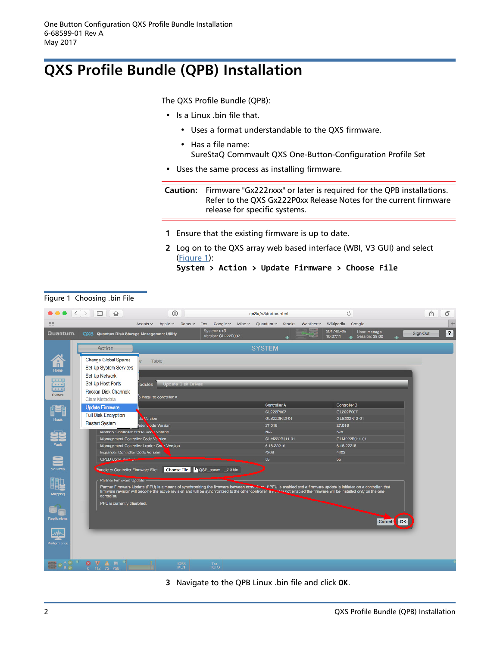## <span id="page-1-0"></span>**QXS Profile Bundle (QPB) Installation**

The QXS Profile Bundle (QPB):

- Is a Linux .bin file that.
	- Uses a format understandable to the QXS firmware.
	- Has a file name: SureStaQ Commvault QXS One-Button-Configuration Profile Set
- Uses the same process as installing firmware.

**Caution:** Firmware "Gx222rxxx" or later is required for the QPB installations. Refer to the QXS Gx222P0xx Release Notes for the current firmware release for specific systems.

- **1** Ensure that the existing firmware is up to date.
- **2** Log on to the QXS array web based interface (WBI, V3 GUI) and select [\(Figure](#page-1-1) 1):

**System > Action > Update Firmware > Choose File**

### $\bullet \bullet \bullet |\langle \ \rangle| \boxdot | \ \circ$  $\odot$ Ò Λĥ. F. ox3a/u3/index.html  $\overline{+}$ iiii Acchts v Apple  $\vee$ Cams  $\vee$ Fox Google v Misc v Quantum v Stocks Weather  $\sim$ Wikipedia Google 2017-05-09<br>10:07:11  $\blacksquare$ Quantum. QXS Quantum Disk Storage Management Utility System: **qx3**<br>Version: **Gi** 22: User: manage Sign Out Action **SYSTEM** Change Global Spares  $\overline{\mathbf{n}}$ Table Set Up System Services Set Up Network Set Up Host Ports Rescan Disk Channels install to controller A Clear Metadata Controller B Controller A **Example: Update Firmware** GL222P007 GL222P007 **Full Disk Encryption** GL6222R12-01 GLS222R12-01 **Restart System** 27.016 27.016 ode Version Memory Controller FPGA Coc Version **N/A** GLM222R011-01 GLM222R011-01 Manage ment Con niler Code Victoria Management Controller Loader Coc 1 V 6.18.22216 6.18.22216  $4202$ 4203 CPLD Code Merit 55 66 **Rundle or Controller Firmware File:** Choose File <sup>1</sup> QSP\_comm...\_7.3.bin **IIL** Parlner Firmware Updale e. If PFU is enabled and a firmware update is initiated on a controller, that<br>iller. If <del>PFL' 'e</del> not enabled the firmware will be installed only on the one PFU is currently disal Cancel CK بالعد

**3** Navigate to the QPB Linux .bin file and click **OK**.

<span id="page-1-1"></span>Figure 1 Choosing .bin File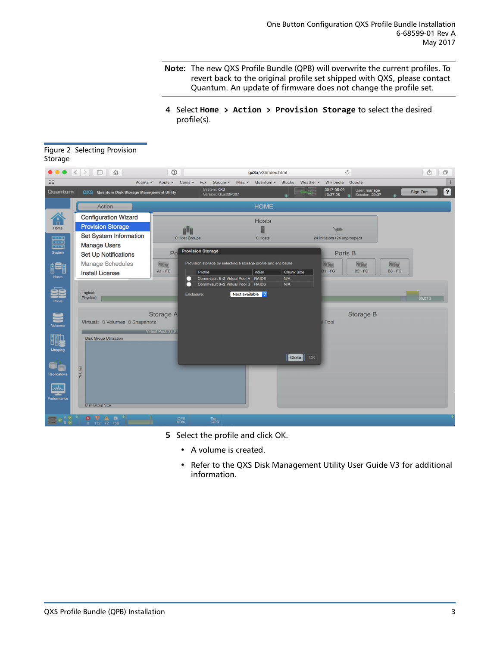**Note:** The new QXS Profile Bundle (QPB) will overwrite the current profiles. To revert back to the original profile set shipped with QXS, please contact Quantum. An update of firmware does not change the profile set.

**4** Select **Home > Action > Provision Storage** to select the desired profile(s).

| Jwiuy∈                 |                                                    |                                           |                                                                            |                       |                   |                              |                                      |                         |          |                         |
|------------------------|----------------------------------------------------|-------------------------------------------|----------------------------------------------------------------------------|-----------------------|-------------------|------------------------------|--------------------------------------|-------------------------|----------|-------------------------|
|                        |                                                    | $\odot$                                   |                                                                            | qx3a/v3/index.html    |                   | $\circ$                      |                                      |                         | Ô        | ð                       |
| :::                    | Accnts $\sim$                                      | $Cams$ $\sim$<br>Apple $\vee$             | Fox Google v<br>Misc $\sim$                                                | $Quantum \sim$ Stocks | Weather $\sim$    | Wikipedia                    | Google                               |                         |          | $^{+}$                  |
| Quantum.               | <b>QXS</b> Quantum Disk Storage Management Utility |                                           | System: qx3<br>Version: GL222P007                                          |                       |                   | 2017-05-09<br>10:37:26       | User: manage<br>Session: 29:37<br>a. |                         | Sign Out | $\overline{\mathbf{r}}$ |
|                        | Action                                             |                                           |                                                                            | <b>HOME</b>           |                   |                              |                                      |                         |          |                         |
| $\widehat{\mathbb{F}}$ | <b>Configuration Wizard</b>                        |                                           |                                                                            | <b>Hosts</b>          |                   |                              |                                      |                         |          |                         |
| Home                   | <b>Provision Storage</b>                           | Ĥ                                         |                                                                            |                       |                   |                              |                                      |                         |          |                         |
| <u>s</u>               | Set System Information                             | 0 Host Groups                             |                                                                            | 0 Hosts               |                   | 24 Initiators (24 ungrouped) |                                      |                         |          |                         |
| System                 | <b>Manage Users</b>                                | Po                                        | <b>Provision Storage</b>                                                   |                       |                   |                              |                                      |                         |          |                         |
|                        | <b>Set Up Notifications</b>                        |                                           |                                                                            |                       |                   | Ports <sub>B</sub>           |                                      |                         |          |                         |
|                        | <b>Manage Schedules</b>                            | <b><i><u>For Ker</u></i></b><br>$A1 - FC$ | Provision storage by selecting a storage profile and enclosure.<br>Profile | Vdisk                 | <b>Chunk Size</b> | <b>Viz (69)</b><br>$B1 - FC$ | <b>Valley</b><br><b>B2 - FC</b>      | to to<br><b>B3 - FC</b> |          |                         |
| <b>Hosts</b>           | <b>Install License</b>                             |                                           | Commvault 8+2 Virtual Pool A RAID6                                         |                       | N/A               |                              |                                      |                         |          |                         |
|                        | Logical:                                           |                                           | Commvault 8+2 Virtual Pool B RAID6                                         |                       | N/A               |                              |                                      |                         |          |                         |
| Pools                  | Physical:                                          | Enclosure:                                | Next available                                                             |                       |                   |                              |                                      |                         | 36.0TB   |                         |
|                        |                                                    |                                           |                                                                            |                       |                   |                              |                                      |                         |          |                         |
|                        | Virtual: 0 Volumes, 0 Snapshots                    | <b>Storage A</b>                          |                                                                            |                       |                   | <b>Pool</b>                  | <b>Storage B</b>                     |                         |          |                         |
| <b>Volumes</b>         |                                                    | Virtual Pool: 23.91                       |                                                                            |                       |                   |                              |                                      |                         |          |                         |
|                        | <b>Disk Group Utilization</b>                      |                                           |                                                                            |                       |                   |                              |                                      |                         |          |                         |
| Mapping                |                                                    |                                           |                                                                            |                       |                   |                              |                                      |                         |          |                         |
|                        |                                                    |                                           |                                                                            |                       | Close   OK        |                              |                                      |                         |          |                         |
|                        | % Used                                             |                                           |                                                                            |                       |                   |                              |                                      |                         |          |                         |
| Replications           |                                                    |                                           |                                                                            |                       |                   |                              |                                      |                         |          |                         |
| wh                     |                                                    |                                           |                                                                            |                       |                   |                              |                                      |                         |          |                         |
| Performance            |                                                    |                                           |                                                                            |                       |                   |                              |                                      |                         |          |                         |
|                        | <b>Disk Group Size</b>                             |                                           |                                                                            |                       |                   |                              |                                      |                         |          |                         |
|                        | ø<br>VAO <sup>P</sup><br>0 112 72 756              | IOPS<br>MB/s                              | Tier<br>IOPS                                                               |                       |                   |                              |                                      |                         |          |                         |

### Figure 2 Selecting Provision Storage

- **5** Select the profile and click OK.
	- A volume is created.
	- Refer to the QXS Disk Management Utility User Guide V3 for additional information.